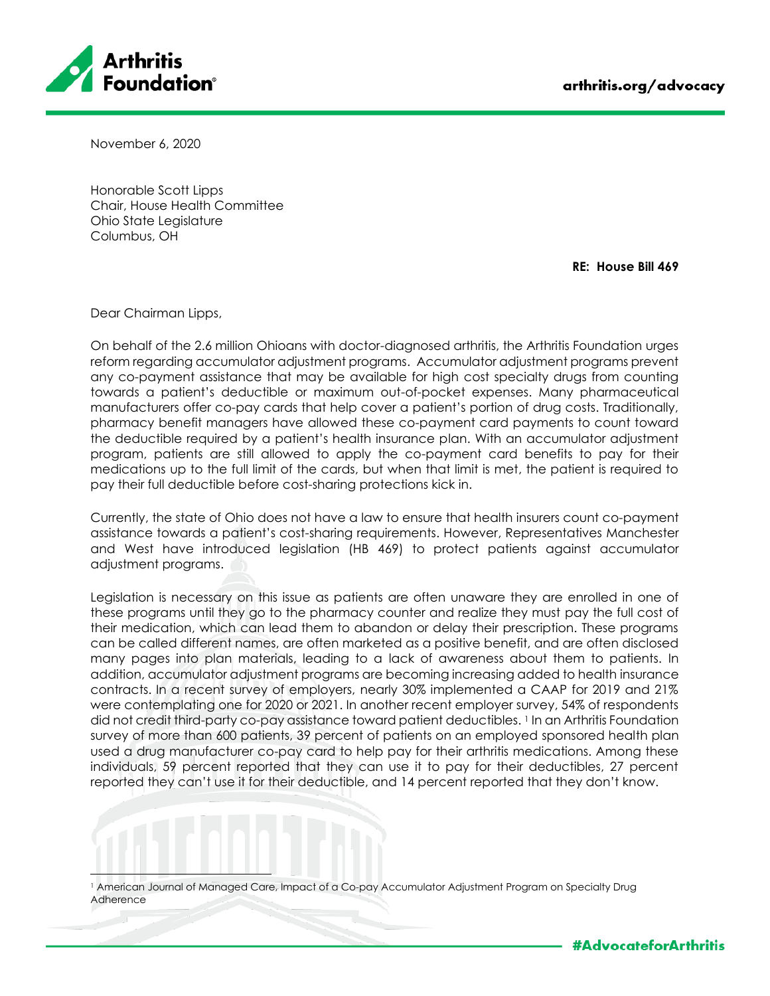

November 6, 2020

Honorable Scott Lipps Chair, House Health Committee Ohio State Legislature Columbus, OH

**RE: House Bill 469**

Dear Chairman Lipps,

On behalf of the 2.6 million Ohioans with doctor-diagnosed arthritis, the Arthritis Foundation urges reform regarding accumulator adjustment programs. Accumulator adjustment programs prevent any co-payment assistance that may be available for high cost specialty drugs from counting towards a patient's deductible or maximum out-of-pocket expenses. Many pharmaceutical manufacturers offer co-pay cards that help cover a patient's portion of drug costs. Traditionally, pharmacy benefit managers have allowed these co-payment card payments to count toward the deductible required by a patient's health insurance plan. With an accumulator adjustment program, patients are still allowed to apply the co-payment card benefits to pay for their medications up to the full limit of the cards, but when that limit is met, the patient is required to pay their full deductible before cost-sharing protections kick in.

Currently, the state of Ohio does not have a law to ensure that health insurers count co-payment assistance towards a patient's cost-sharing requirements. However, Representatives Manchester and West have introduced legislation (HB 469) to protect patients against accumulator adjustment programs.

Legislation is necessary on this issue as patients are often unaware they are enrolled in one of these programs until they go to the pharmacy counter and realize they must pay the full cost of their medication, which can lead them to abandon or delay their prescription. These programs can be called different names, are often marketed as a positive benefit, and are often disclosed many pages into plan materials, leading to a lack of awareness about them to patients. In addition, accumulator adjustment programs are becoming increasing added to health insurance contracts. In a recent survey of employers, nearly 30% implemented a CAAP for 2019 and 21% were contemplating one for 2020 or 2021. In another recent employer survey, 54% of respondents did not credit third-party co-pay assistance toward patient deductibles. 1 In an Arthritis Foundation survey of more than 600 patients, 39 percent of patients on an employed sponsored health plan used a drug manufacturer co-pay card to help pay for their arthritis medications. Among these individuals, 59 percent reported that they can use it to pay for their deductibles, 27 percent reported they can't use it for their deductible, and 14 percent reported that they don't know.

<sup>1</sup> American Journal of Managed Care, Impact of a Co-pay Accumulator Adjustment Program on Specialty Drug Adherence